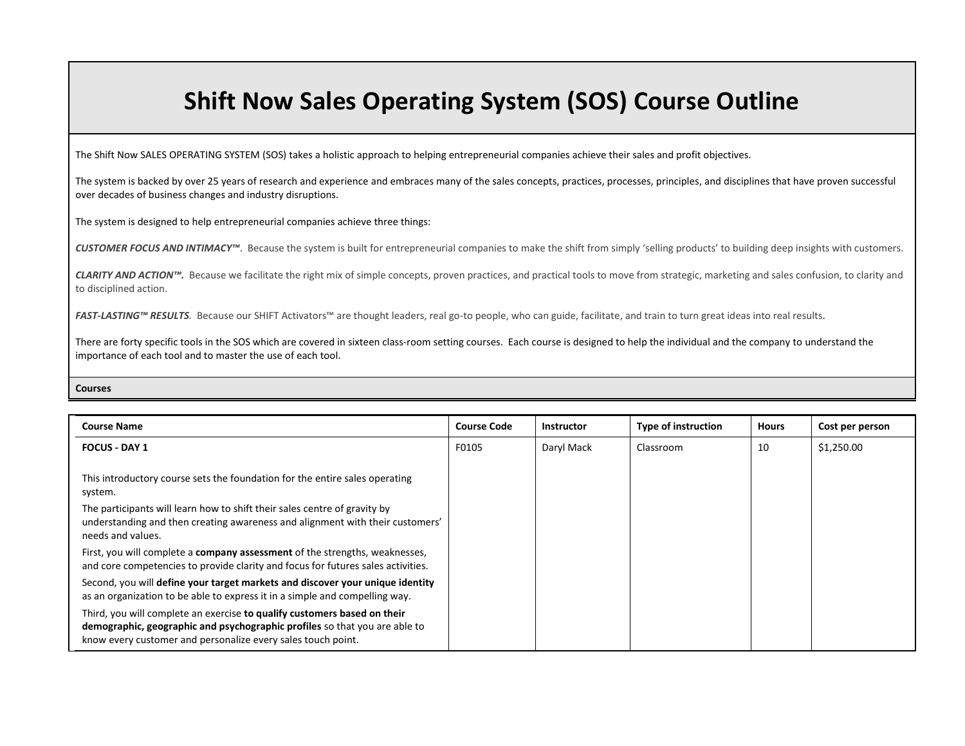## **Shift Now Sales Operating System (SOS) Course Outline**

The Shift Now SALES OPERATING SYSTEM (SOS) takes a holistic approach to helping entrepreneurial companies achieve their sales and profit objectives.

The system is backed by over 25 years of research and experience and embraces many of the sales concepts, practices, processes, principles, and disciplines that have proven successful over decades of business changes and industry disruptions.

The system is designed to help entrepreneurial companies achieve three things:

CUSTOMER FOCUS AND INTIMACY<sup>™</sup>. Because the system is built for entrepreneurial companies to make the shift from simply 'selling products' to building deep insights with customers.

CLARITY AND ACTION<sup>™</sup>. Because we facilitate the right mix of simple concepts, proven practices, and practical tools to move from strategic, marketing and sales confusion, to clarity and to disciplined action.

*FAST-LASTING™ RESULTS.* Because our SHIFT Activators™ are thought leaders, real go-to people, who can guide, facilitate, and train to turn great ideas into real results.

There are forty specific tools in the SOS which are covered in sixteen class-room setting courses. Each course is designed to help the individual and the company to understand the importance of each tool and to master the use of each tool.

**Courses**

| <b>Course Name</b>                                                                                                                                                                                                     | <b>Course Code</b> | <b>Instructor</b> | <b>Type of instruction</b> | <b>Hours</b> | Cost per person |
|------------------------------------------------------------------------------------------------------------------------------------------------------------------------------------------------------------------------|--------------------|-------------------|----------------------------|--------------|-----------------|
| <b>FOCUS - DAY 1</b>                                                                                                                                                                                                   | F0105              | Daryl Mack        | Classroom                  | 10           | \$1,250.00      |
| This introductory course sets the foundation for the entire sales operating<br>system.                                                                                                                                 |                    |                   |                            |              |                 |
| The participants will learn how to shift their sales centre of gravity by<br>understanding and then creating awareness and alignment with their customers'<br>needs and values.                                        |                    |                   |                            |              |                 |
| First, you will complete a company assessment of the strengths, weaknesses,<br>and core competencies to provide clarity and focus for futures sales activities.                                                        |                    |                   |                            |              |                 |
| Second, you will define your target markets and discover your unique identity<br>as an organization to be able to express it in a simple and compelling way.                                                           |                    |                   |                            |              |                 |
| Third, you will complete an exercise to qualify customers based on their<br>demographic, geographic and psychographic profiles so that you are able to<br>know every customer and personalize every sales touch point. |                    |                   |                            |              |                 |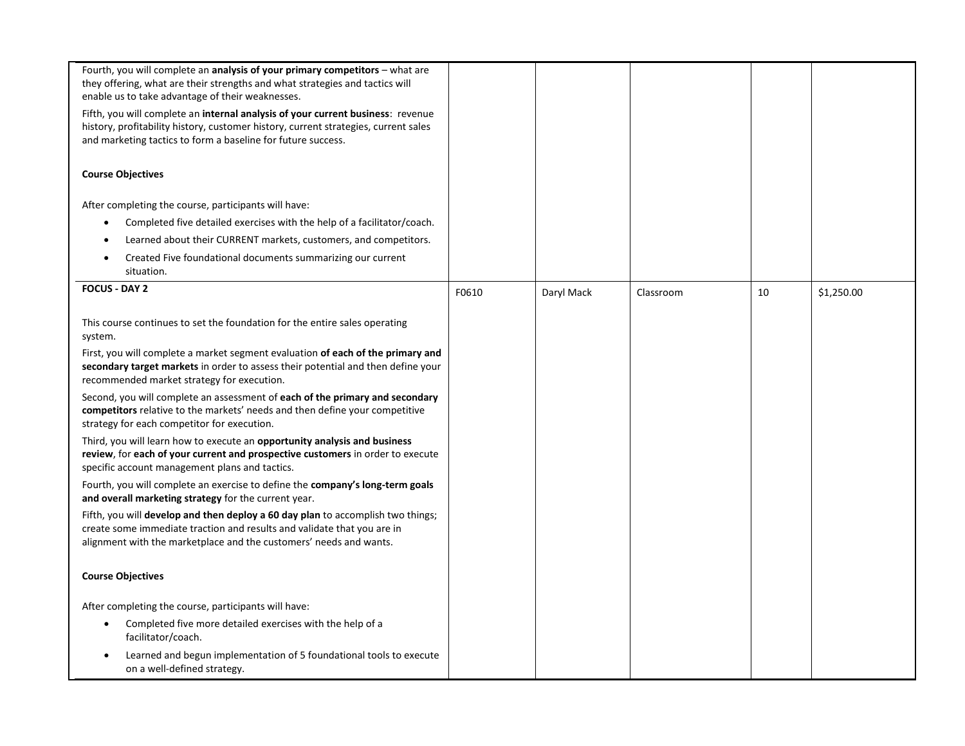| Fourth, you will complete an <b>analysis of your primary competitors</b> – what are<br>they offering, what are their strengths and what strategies and tactics will<br>enable us to take advantage of their weaknesses.<br>Fifth, you will complete an internal analysis of your current business: revenue<br>history, profitability history, customer history, current strategies, current sales<br>and marketing tactics to form a baseline for future success.                                                                                                                                                                                                                                                                                                                                                                                                                                                                                                                                                                                |       |            |           |    |            |
|--------------------------------------------------------------------------------------------------------------------------------------------------------------------------------------------------------------------------------------------------------------------------------------------------------------------------------------------------------------------------------------------------------------------------------------------------------------------------------------------------------------------------------------------------------------------------------------------------------------------------------------------------------------------------------------------------------------------------------------------------------------------------------------------------------------------------------------------------------------------------------------------------------------------------------------------------------------------------------------------------------------------------------------------------|-------|------------|-----------|----|------------|
| <b>Course Objectives</b>                                                                                                                                                                                                                                                                                                                                                                                                                                                                                                                                                                                                                                                                                                                                                                                                                                                                                                                                                                                                                         |       |            |           |    |            |
| After completing the course, participants will have:<br>Completed five detailed exercises with the help of a facilitator/coach.<br>$\bullet$<br>Learned about their CURRENT markets, customers, and competitors.<br>$\bullet$                                                                                                                                                                                                                                                                                                                                                                                                                                                                                                                                                                                                                                                                                                                                                                                                                    |       |            |           |    |            |
| Created Five foundational documents summarizing our current<br>$\bullet$<br>situation.                                                                                                                                                                                                                                                                                                                                                                                                                                                                                                                                                                                                                                                                                                                                                                                                                                                                                                                                                           |       |            |           |    |            |
| <b>FOCUS - DAY 2</b>                                                                                                                                                                                                                                                                                                                                                                                                                                                                                                                                                                                                                                                                                                                                                                                                                                                                                                                                                                                                                             | F0610 | Daryl Mack | Classroom | 10 | \$1,250.00 |
| This course continues to set the foundation for the entire sales operating<br>system.<br>First, you will complete a market segment evaluation of each of the primary and<br>secondary target markets in order to assess their potential and then define your<br>recommended market strategy for execution.<br>Second, you will complete an assessment of each of the primary and secondary<br>competitors relative to the markets' needs and then define your competitive<br>strategy for each competitor for execution.<br>Third, you will learn how to execute an opportunity analysis and business<br>review, for each of your current and prospective customers in order to execute<br>specific account management plans and tactics.<br>Fourth, you will complete an exercise to define the company's long-term goals<br>and overall marketing strategy for the current year.<br>Fifth, you will develop and then deploy a 60 day plan to accomplish two things;<br>create some immediate traction and results and validate that you are in |       |            |           |    |            |
| alignment with the marketplace and the customers' needs and wants.                                                                                                                                                                                                                                                                                                                                                                                                                                                                                                                                                                                                                                                                                                                                                                                                                                                                                                                                                                               |       |            |           |    |            |
| <b>Course Objectives</b>                                                                                                                                                                                                                                                                                                                                                                                                                                                                                                                                                                                                                                                                                                                                                                                                                                                                                                                                                                                                                         |       |            |           |    |            |
| After completing the course, participants will have:                                                                                                                                                                                                                                                                                                                                                                                                                                                                                                                                                                                                                                                                                                                                                                                                                                                                                                                                                                                             |       |            |           |    |            |
| Completed five more detailed exercises with the help of a<br>facilitator/coach.                                                                                                                                                                                                                                                                                                                                                                                                                                                                                                                                                                                                                                                                                                                                                                                                                                                                                                                                                                  |       |            |           |    |            |
| Learned and begun implementation of 5 foundational tools to execute<br>on a well-defined strategy.                                                                                                                                                                                                                                                                                                                                                                                                                                                                                                                                                                                                                                                                                                                                                                                                                                                                                                                                               |       |            |           |    |            |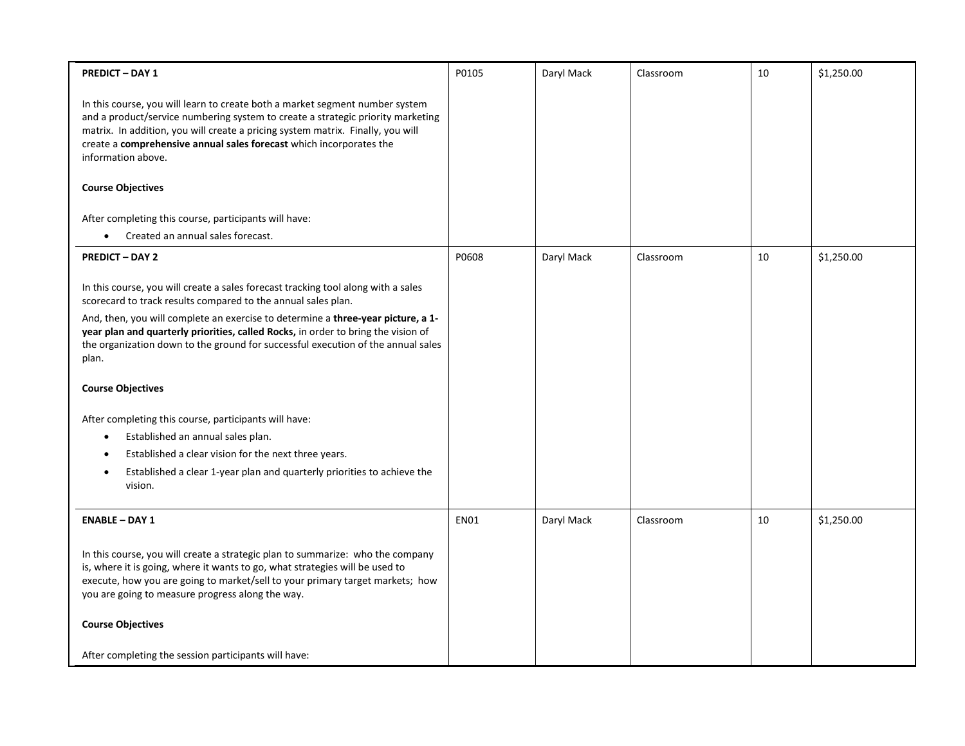| <b>PREDICT - DAY 1</b>                                                                                                                                                                                                                                                                                                                                                                                                                                                                                                                                                                                                                                                                                        | P0105       | Daryl Mack | Classroom | 10 | \$1,250.00 |
|---------------------------------------------------------------------------------------------------------------------------------------------------------------------------------------------------------------------------------------------------------------------------------------------------------------------------------------------------------------------------------------------------------------------------------------------------------------------------------------------------------------------------------------------------------------------------------------------------------------------------------------------------------------------------------------------------------------|-------------|------------|-----------|----|------------|
| In this course, you will learn to create both a market segment number system<br>and a product/service numbering system to create a strategic priority marketing<br>matrix. In addition, you will create a pricing system matrix. Finally, you will<br>create a comprehensive annual sales forecast which incorporates the<br>information above.<br><b>Course Objectives</b><br>After completing this course, participants will have:                                                                                                                                                                                                                                                                          |             |            |           |    |            |
| Created an annual sales forecast.<br>$\bullet$                                                                                                                                                                                                                                                                                                                                                                                                                                                                                                                                                                                                                                                                |             |            |           |    |            |
| <b>PREDICT - DAY 2</b>                                                                                                                                                                                                                                                                                                                                                                                                                                                                                                                                                                                                                                                                                        | P0608       | Daryl Mack | Classroom | 10 | \$1,250.00 |
| In this course, you will create a sales forecast tracking tool along with a sales<br>scorecard to track results compared to the annual sales plan.<br>And, then, you will complete an exercise to determine a three-year picture, a 1-<br>year plan and quarterly priorities, called Rocks, in order to bring the vision of<br>the organization down to the ground for successful execution of the annual sales<br>plan.<br><b>Course Objectives</b><br>After completing this course, participants will have:<br>Established an annual sales plan.<br>$\bullet$<br>Established a clear vision for the next three years.<br>Established a clear 1-year plan and quarterly priorities to achieve the<br>vision. |             |            |           |    |            |
| <b>ENABLE - DAY 1</b>                                                                                                                                                                                                                                                                                                                                                                                                                                                                                                                                                                                                                                                                                         | <b>EN01</b> | Daryl Mack | Classroom | 10 | \$1,250.00 |
| In this course, you will create a strategic plan to summarize: who the company<br>is, where it is going, where it wants to go, what strategies will be used to<br>execute, how you are going to market/sell to your primary target markets; how<br>you are going to measure progress along the way.                                                                                                                                                                                                                                                                                                                                                                                                           |             |            |           |    |            |
| <b>Course Objectives</b>                                                                                                                                                                                                                                                                                                                                                                                                                                                                                                                                                                                                                                                                                      |             |            |           |    |            |
| After completing the session participants will have:                                                                                                                                                                                                                                                                                                                                                                                                                                                                                                                                                                                                                                                          |             |            |           |    |            |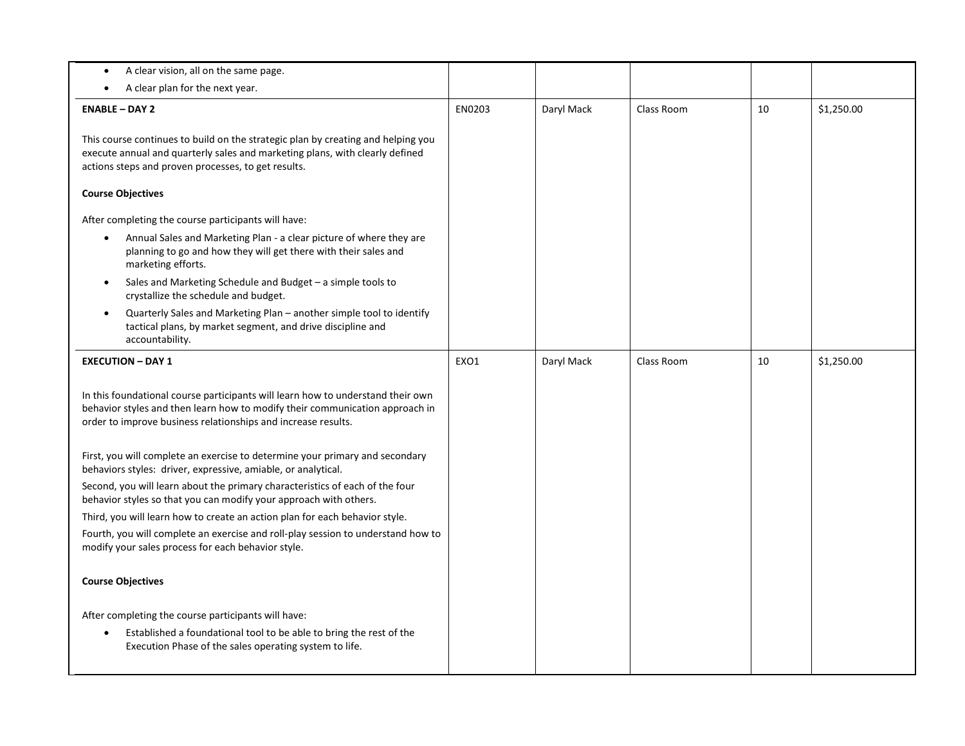| A clear vision, all on the same page.<br>$\bullet$                                                                                                                                                                               |        |            |            |    |            |
|----------------------------------------------------------------------------------------------------------------------------------------------------------------------------------------------------------------------------------|--------|------------|------------|----|------------|
| A clear plan for the next year.                                                                                                                                                                                                  |        |            |            |    |            |
| <b>ENABLE - DAY 2</b>                                                                                                                                                                                                            | EN0203 | Daryl Mack | Class Room | 10 | \$1,250.00 |
| This course continues to build on the strategic plan by creating and helping you<br>execute annual and quarterly sales and marketing plans, with clearly defined<br>actions steps and proven processes, to get results.          |        |            |            |    |            |
| <b>Course Objectives</b>                                                                                                                                                                                                         |        |            |            |    |            |
| After completing the course participants will have:                                                                                                                                                                              |        |            |            |    |            |
| Annual Sales and Marketing Plan - a clear picture of where they are<br>$\bullet$<br>planning to go and how they will get there with their sales and<br>marketing efforts.                                                        |        |            |            |    |            |
| Sales and Marketing Schedule and Budget - a simple tools to<br>$\bullet$<br>crystallize the schedule and budget.                                                                                                                 |        |            |            |    |            |
| Quarterly Sales and Marketing Plan - another simple tool to identify<br>$\bullet$<br>tactical plans, by market segment, and drive discipline and<br>accountability.                                                              |        |            |            |    |            |
| <b>EXECUTION - DAY 1</b>                                                                                                                                                                                                         | EXO1   | Daryl Mack | Class Room | 10 | \$1,250.00 |
| In this foundational course participants will learn how to understand their own<br>behavior styles and then learn how to modify their communication approach in<br>order to improve business relationships and increase results. |        |            |            |    |            |
| First, you will complete an exercise to determine your primary and secondary<br>behaviors styles: driver, expressive, amiable, or analytical.                                                                                    |        |            |            |    |            |
| Second, you will learn about the primary characteristics of each of the four<br>behavior styles so that you can modify your approach with others.                                                                                |        |            |            |    |            |
| Third, you will learn how to create an action plan for each behavior style.                                                                                                                                                      |        |            |            |    |            |
| Fourth, you will complete an exercise and roll-play session to understand how to<br>modify your sales process for each behavior style.                                                                                           |        |            |            |    |            |
| <b>Course Objectives</b>                                                                                                                                                                                                         |        |            |            |    |            |
| After completing the course participants will have:                                                                                                                                                                              |        |            |            |    |            |
| Established a foundational tool to be able to bring the rest of the<br>$\bullet$<br>Execution Phase of the sales operating system to life.                                                                                       |        |            |            |    |            |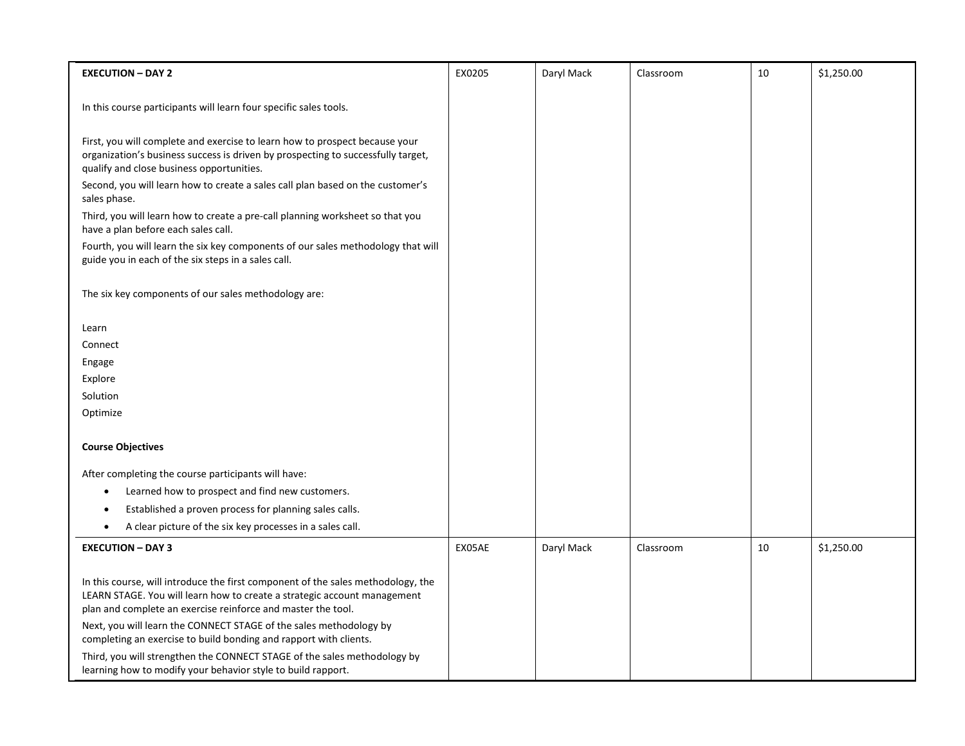| <b>EXECUTION - DAY 2</b>                                                                                                                                                                                                     | EX0205 | Daryl Mack | Classroom | 10 | \$1,250.00 |
|------------------------------------------------------------------------------------------------------------------------------------------------------------------------------------------------------------------------------|--------|------------|-----------|----|------------|
|                                                                                                                                                                                                                              |        |            |           |    |            |
| In this course participants will learn four specific sales tools.                                                                                                                                                            |        |            |           |    |            |
| First, you will complete and exercise to learn how to prospect because your<br>organization's business success is driven by prospecting to successfully target,                                                              |        |            |           |    |            |
| qualify and close business opportunities.<br>Second, you will learn how to create a sales call plan based on the customer's<br>sales phase.                                                                                  |        |            |           |    |            |
| Third, you will learn how to create a pre-call planning worksheet so that you<br>have a plan before each sales call.                                                                                                         |        |            |           |    |            |
| Fourth, you will learn the six key components of our sales methodology that will<br>guide you in each of the six steps in a sales call.                                                                                      |        |            |           |    |            |
| The six key components of our sales methodology are:                                                                                                                                                                         |        |            |           |    |            |
| Learn                                                                                                                                                                                                                        |        |            |           |    |            |
| Connect                                                                                                                                                                                                                      |        |            |           |    |            |
| Engage                                                                                                                                                                                                                       |        |            |           |    |            |
| Explore                                                                                                                                                                                                                      |        |            |           |    |            |
| Solution                                                                                                                                                                                                                     |        |            |           |    |            |
| Optimize                                                                                                                                                                                                                     |        |            |           |    |            |
| <b>Course Objectives</b>                                                                                                                                                                                                     |        |            |           |    |            |
|                                                                                                                                                                                                                              |        |            |           |    |            |
| After completing the course participants will have:                                                                                                                                                                          |        |            |           |    |            |
| Learned how to prospect and find new customers.                                                                                                                                                                              |        |            |           |    |            |
| Established a proven process for planning sales calls.                                                                                                                                                                       |        |            |           |    |            |
| A clear picture of the six key processes in a sales call.<br>٠                                                                                                                                                               |        |            |           |    |            |
| <b>EXECUTION - DAY 3</b>                                                                                                                                                                                                     | EX05AE | Daryl Mack | Classroom | 10 | \$1,250.00 |
|                                                                                                                                                                                                                              |        |            |           |    |            |
| In this course, will introduce the first component of the sales methodology, the<br>LEARN STAGE. You will learn how to create a strategic account management<br>plan and complete an exercise reinforce and master the tool. |        |            |           |    |            |
| Next, you will learn the CONNECT STAGE of the sales methodology by<br>completing an exercise to build bonding and rapport with clients.                                                                                      |        |            |           |    |            |
| Third, you will strengthen the CONNECT STAGE of the sales methodology by<br>learning how to modify your behavior style to build rapport.                                                                                     |        |            |           |    |            |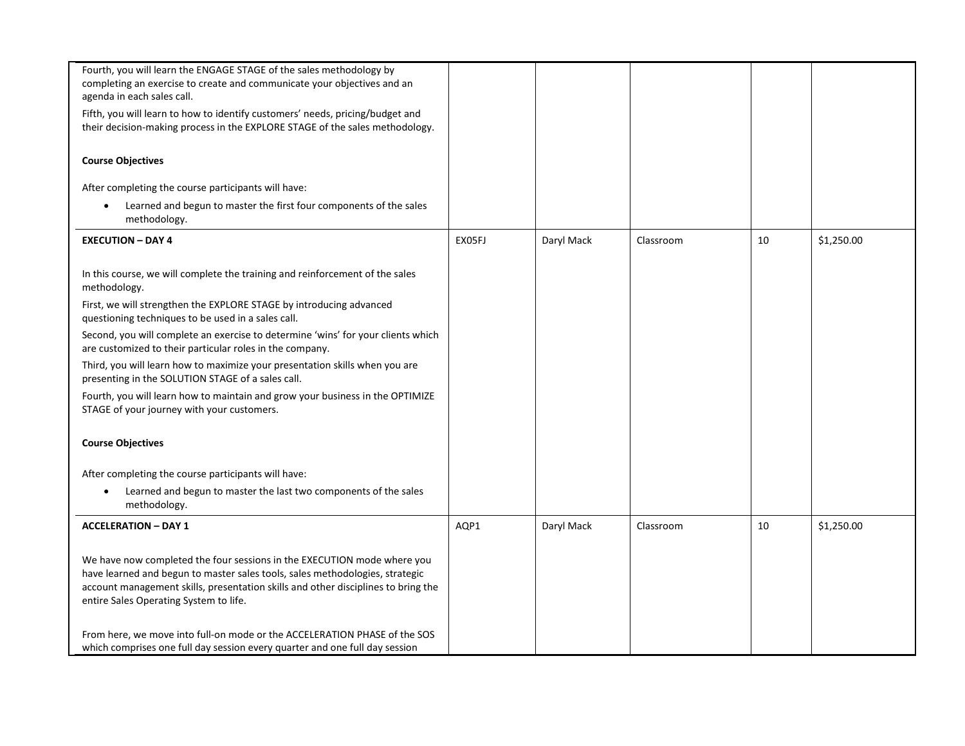| Fourth, you will learn the ENGAGE STAGE of the sales methodology by               |        |            |           |    |            |
|-----------------------------------------------------------------------------------|--------|------------|-----------|----|------------|
| completing an exercise to create and communicate your objectives and an           |        |            |           |    |            |
|                                                                                   |        |            |           |    |            |
| agenda in each sales call.                                                        |        |            |           |    |            |
| Fifth, you will learn to how to identify customers' needs, pricing/budget and     |        |            |           |    |            |
| their decision-making process in the EXPLORE STAGE of the sales methodology.      |        |            |           |    |            |
|                                                                                   |        |            |           |    |            |
| <b>Course Objectives</b>                                                          |        |            |           |    |            |
| After completing the course participants will have:                               |        |            |           |    |            |
| Learned and begun to master the first four components of the sales<br>$\bullet$   |        |            |           |    |            |
| methodology.                                                                      |        |            |           |    |            |
|                                                                                   |        |            |           |    |            |
| <b>EXECUTION - DAY 4</b>                                                          | EX05FJ | Daryl Mack | Classroom | 10 | \$1,250.00 |
|                                                                                   |        |            |           |    |            |
|                                                                                   |        |            |           |    |            |
| In this course, we will complete the training and reinforcement of the sales      |        |            |           |    |            |
| methodology.                                                                      |        |            |           |    |            |
| First, we will strengthen the EXPLORE STAGE by introducing advanced               |        |            |           |    |            |
| questioning techniques to be used in a sales call.                                |        |            |           |    |            |
| Second, you will complete an exercise to determine 'wins' for your clients which  |        |            |           |    |            |
| are customized to their particular roles in the company.                          |        |            |           |    |            |
| Third, you will learn how to maximize your presentation skills when you are       |        |            |           |    |            |
|                                                                                   |        |            |           |    |            |
| presenting in the SOLUTION STAGE of a sales call.                                 |        |            |           |    |            |
| Fourth, you will learn how to maintain and grow your business in the OPTIMIZE     |        |            |           |    |            |
| STAGE of your journey with your customers.                                        |        |            |           |    |            |
|                                                                                   |        |            |           |    |            |
| <b>Course Objectives</b>                                                          |        |            |           |    |            |
|                                                                                   |        |            |           |    |            |
|                                                                                   |        |            |           |    |            |
| After completing the course participants will have:                               |        |            |           |    |            |
| Learned and begun to master the last two components of the sales<br>٠             |        |            |           |    |            |
| methodology.                                                                      |        |            |           |    |            |
| <b>ACCELERATION - DAY 1</b>                                                       | AQP1   | Daryl Mack | Classroom | 10 | \$1,250.00 |
|                                                                                   |        |            |           |    |            |
|                                                                                   |        |            |           |    |            |
| We have now completed the four sessions in the EXECUTION mode where you           |        |            |           |    |            |
| have learned and begun to master sales tools, sales methodologies, strategic      |        |            |           |    |            |
| account management skills, presentation skills and other disciplines to bring the |        |            |           |    |            |
| entire Sales Operating System to life.                                            |        |            |           |    |            |
|                                                                                   |        |            |           |    |            |
|                                                                                   |        |            |           |    |            |
| From here, we move into full-on mode or the ACCELERATION PHASE of the SOS         |        |            |           |    |            |
| which comprises one full day session every quarter and one full day session       |        |            |           |    |            |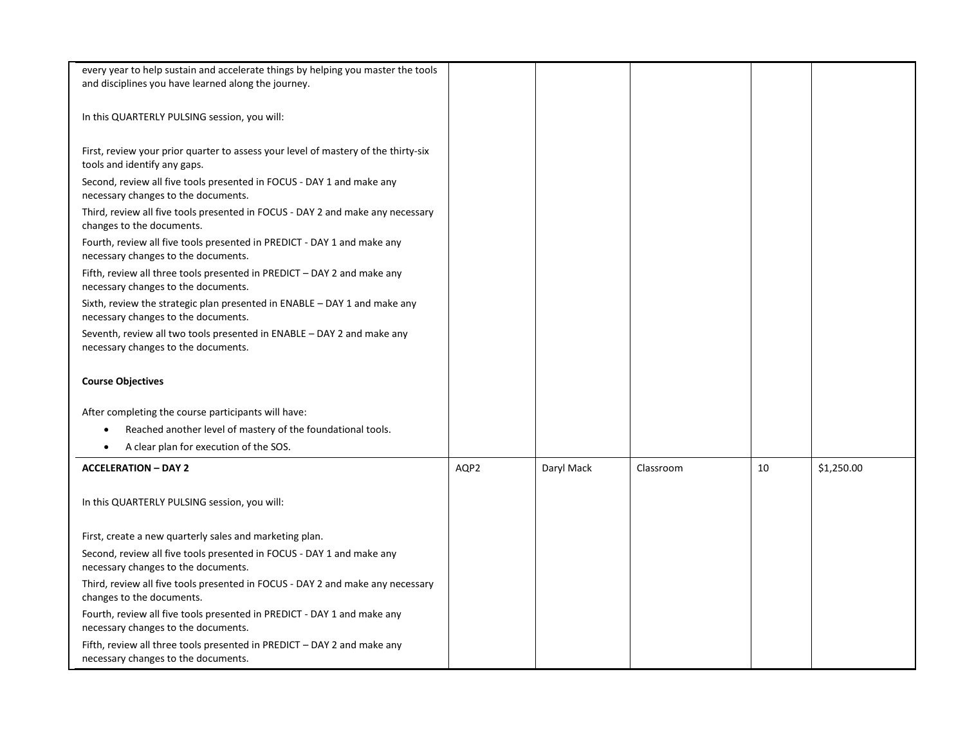| every year to help sustain and accelerate things by helping you master the tools   |      |            |           |    |            |
|------------------------------------------------------------------------------------|------|------------|-----------|----|------------|
| and disciplines you have learned along the journey.                                |      |            |           |    |            |
|                                                                                    |      |            |           |    |            |
|                                                                                    |      |            |           |    |            |
| In this QUARTERLY PULSING session, you will:                                       |      |            |           |    |            |
|                                                                                    |      |            |           |    |            |
| First, review your prior quarter to assess your level of mastery of the thirty-six |      |            |           |    |            |
| tools and identify any gaps.                                                       |      |            |           |    |            |
| Second, review all five tools presented in FOCUS - DAY 1 and make any              |      |            |           |    |            |
| necessary changes to the documents.                                                |      |            |           |    |            |
|                                                                                    |      |            |           |    |            |
| Third, review all five tools presented in FOCUS - DAY 2 and make any necessary     |      |            |           |    |            |
| changes to the documents.                                                          |      |            |           |    |            |
| Fourth, review all five tools presented in PREDICT - DAY 1 and make any            |      |            |           |    |            |
| necessary changes to the documents.                                                |      |            |           |    |            |
| Fifth, review all three tools presented in PREDICT - DAY 2 and make any            |      |            |           |    |            |
| necessary changes to the documents.                                                |      |            |           |    |            |
| Sixth, review the strategic plan presented in $ENABLE - DAY 1$ and make any        |      |            |           |    |            |
| necessary changes to the documents.                                                |      |            |           |    |            |
|                                                                                    |      |            |           |    |            |
| Seventh, review all two tools presented in ENABLE – DAY 2 and make any             |      |            |           |    |            |
| necessary changes to the documents.                                                |      |            |           |    |            |
|                                                                                    |      |            |           |    |            |
| <b>Course Objectives</b>                                                           |      |            |           |    |            |
|                                                                                    |      |            |           |    |            |
| After completing the course participants will have:                                |      |            |           |    |            |
|                                                                                    |      |            |           |    |            |
| Reached another level of mastery of the foundational tools.<br>٠                   |      |            |           |    |            |
| A clear plan for execution of the SOS.<br>$\bullet$                                |      |            |           |    |            |
|                                                                                    |      |            |           |    |            |
| <b>ACCELERATION - DAY 2</b>                                                        | AQP2 | Daryl Mack | Classroom | 10 | \$1,250.00 |
|                                                                                    |      |            |           |    |            |
| In this QUARTERLY PULSING session, you will:                                       |      |            |           |    |            |
|                                                                                    |      |            |           |    |            |
|                                                                                    |      |            |           |    |            |
| First, create a new quarterly sales and marketing plan.                            |      |            |           |    |            |
| Second, review all five tools presented in FOCUS - DAY 1 and make any              |      |            |           |    |            |
| necessary changes to the documents.                                                |      |            |           |    |            |
| Third, review all five tools presented in FOCUS - DAY 2 and make any necessary     |      |            |           |    |            |
| changes to the documents.                                                          |      |            |           |    |            |
| Fourth, review all five tools presented in PREDICT - DAY 1 and make any            |      |            |           |    |            |
| necessary changes to the documents.                                                |      |            |           |    |            |
|                                                                                    |      |            |           |    |            |
| Fifth, review all three tools presented in PREDICT - DAY 2 and make any            |      |            |           |    |            |
| necessary changes to the documents.                                                |      |            |           |    |            |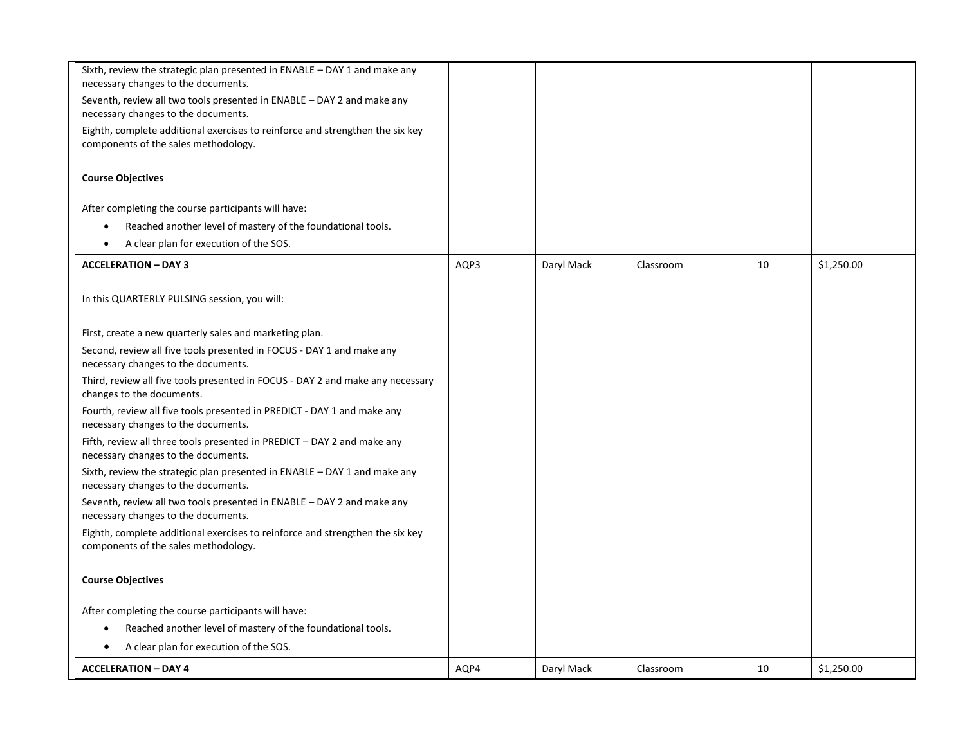| <b>ACCELERATION - DAY 4</b>                                                                                                      | AQP4 | Daryl Mack | Classroom | 10 | \$1,250.00 |
|----------------------------------------------------------------------------------------------------------------------------------|------|------------|-----------|----|------------|
| A clear plan for execution of the SOS.<br>٠                                                                                      |      |            |           |    |            |
| Reached another level of mastery of the foundational tools.                                                                      |      |            |           |    |            |
| After completing the course participants will have:                                                                              |      |            |           |    |            |
| <b>Course Objectives</b>                                                                                                         |      |            |           |    |            |
| Eighth, complete additional exercises to reinforce and strengthen the six key<br>components of the sales methodology.            |      |            |           |    |            |
| Seventh, review all two tools presented in ENABLE - DAY 2 and make any<br>necessary changes to the documents.                    |      |            |           |    |            |
| Sixth, review the strategic plan presented in ENABLE - DAY 1 and make any<br>necessary changes to the documents.                 |      |            |           |    |            |
| Fifth, review all three tools presented in PREDICT - DAY 2 and make any<br>necessary changes to the documents.                   |      |            |           |    |            |
| Fourth, review all five tools presented in PREDICT - DAY 1 and make any<br>necessary changes to the documents.                   |      |            |           |    |            |
| Third, review all five tools presented in FOCUS - DAY 2 and make any necessary<br>changes to the documents.                      |      |            |           |    |            |
| necessary changes to the documents.                                                                                              |      |            |           |    |            |
| First, create a new quarterly sales and marketing plan.<br>Second, review all five tools presented in FOCUS - DAY 1 and make any |      |            |           |    |            |
| In this QUARTERLY PULSING session, you will:                                                                                     |      |            |           |    |            |
| <b>ACCELERATION - DAY 3</b>                                                                                                      | AQP3 | Daryl Mack | Classroom | 10 | \$1,250.00 |
| A clear plan for execution of the SOS.<br>$\bullet$                                                                              |      |            |           |    |            |
| Reached another level of mastery of the foundational tools.                                                                      |      |            |           |    |            |
| After completing the course participants will have:                                                                              |      |            |           |    |            |
| <b>Course Objectives</b>                                                                                                         |      |            |           |    |            |
| Eighth, complete additional exercises to reinforce and strengthen the six key<br>components of the sales methodology.            |      |            |           |    |            |
| Seventh, review all two tools presented in ENABLE – DAY 2 and make any<br>necessary changes to the documents.                    |      |            |           |    |            |
| Sixth, review the strategic plan presented in $ENABLE - DAY 1$ and make any<br>necessary changes to the documents.               |      |            |           |    |            |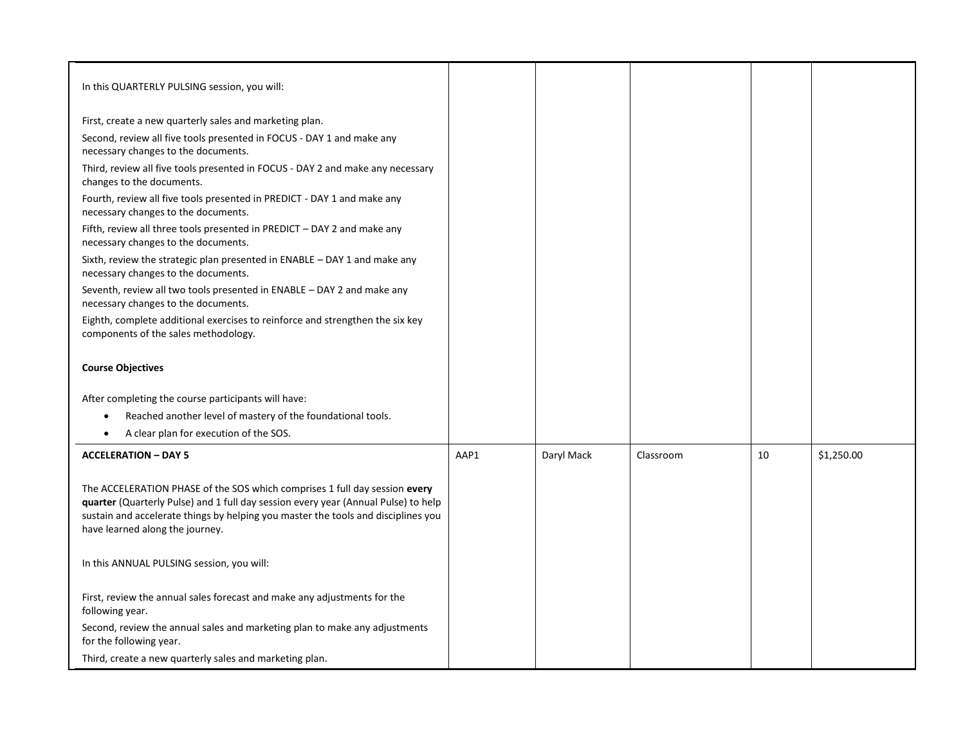| In this QUARTERLY PULSING session, you will:                                                                                                                                                                                                                                             |      |            |           |    |            |
|------------------------------------------------------------------------------------------------------------------------------------------------------------------------------------------------------------------------------------------------------------------------------------------|------|------------|-----------|----|------------|
| First, create a new quarterly sales and marketing plan.                                                                                                                                                                                                                                  |      |            |           |    |            |
| Second, review all five tools presented in FOCUS - DAY 1 and make any<br>necessary changes to the documents.                                                                                                                                                                             |      |            |           |    |            |
| Third, review all five tools presented in FOCUS - DAY 2 and make any necessary<br>changes to the documents.                                                                                                                                                                              |      |            |           |    |            |
| Fourth, review all five tools presented in PREDICT - DAY 1 and make any<br>necessary changes to the documents.                                                                                                                                                                           |      |            |           |    |            |
| Fifth, review all three tools presented in PREDICT - DAY 2 and make any<br>necessary changes to the documents.                                                                                                                                                                           |      |            |           |    |            |
| Sixth, review the strategic plan presented in ENABLE - DAY 1 and make any<br>necessary changes to the documents.                                                                                                                                                                         |      |            |           |    |            |
| Seventh, review all two tools presented in ENABLE - DAY 2 and make any<br>necessary changes to the documents.                                                                                                                                                                            |      |            |           |    |            |
| Eighth, complete additional exercises to reinforce and strengthen the six key<br>components of the sales methodology.                                                                                                                                                                    |      |            |           |    |            |
| <b>Course Objectives</b>                                                                                                                                                                                                                                                                 |      |            |           |    |            |
| After completing the course participants will have:                                                                                                                                                                                                                                      |      |            |           |    |            |
| Reached another level of mastery of the foundational tools.<br>$\bullet$                                                                                                                                                                                                                 |      |            |           |    |            |
| A clear plan for execution of the SOS.<br>$\bullet$                                                                                                                                                                                                                                      |      |            |           |    |            |
| <b>ACCELERATION - DAY 5</b>                                                                                                                                                                                                                                                              | AAP1 | Daryl Mack | Classroom | 10 | \$1,250.00 |
| The ACCELERATION PHASE of the SOS which comprises 1 full day session every<br>quarter (Quarterly Pulse) and 1 full day session every year (Annual Pulse) to help<br>sustain and accelerate things by helping you master the tools and disciplines you<br>have learned along the journey. |      |            |           |    |            |
| In this ANNUAL PULSING session, you will:                                                                                                                                                                                                                                                |      |            |           |    |            |
| First, review the annual sales forecast and make any adjustments for the<br>following year.                                                                                                                                                                                              |      |            |           |    |            |
| Second, review the annual sales and marketing plan to make any adjustments<br>for the following year.                                                                                                                                                                                    |      |            |           |    |            |
| Third, create a new quarterly sales and marketing plan.                                                                                                                                                                                                                                  |      |            |           |    |            |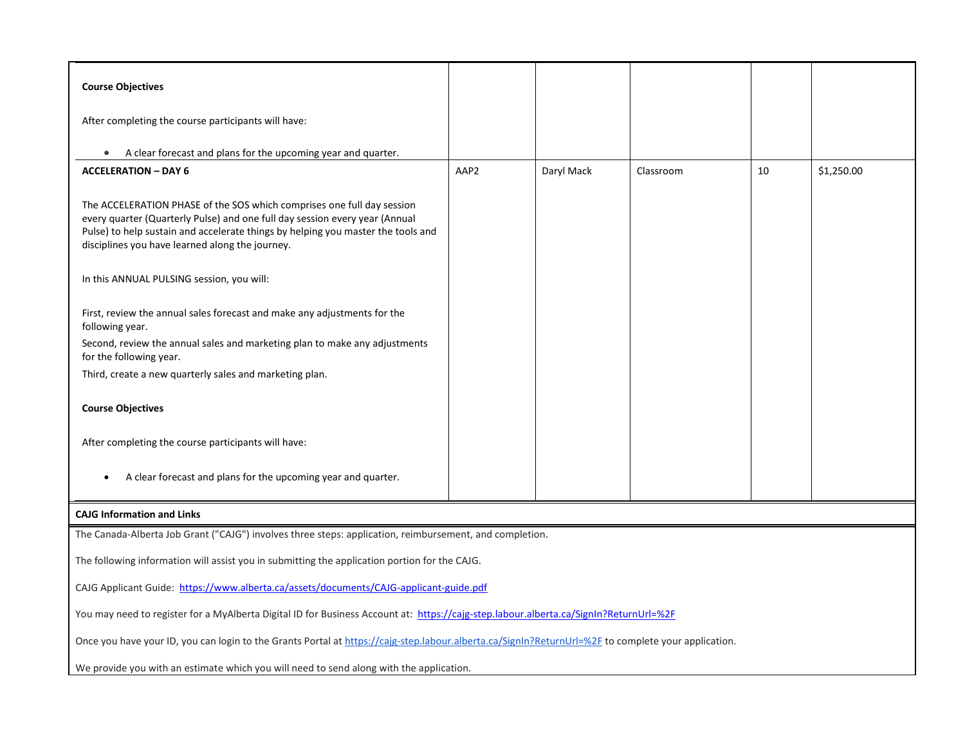| <b>Course Objectives</b>                                                                                                                                                                                                                                                                     |      |            |           |    |            |  |
|----------------------------------------------------------------------------------------------------------------------------------------------------------------------------------------------------------------------------------------------------------------------------------------------|------|------------|-----------|----|------------|--|
|                                                                                                                                                                                                                                                                                              |      |            |           |    |            |  |
| After completing the course participants will have:                                                                                                                                                                                                                                          |      |            |           |    |            |  |
|                                                                                                                                                                                                                                                                                              |      |            |           |    |            |  |
| A clear forecast and plans for the upcoming year and quarter.                                                                                                                                                                                                                                |      |            |           |    |            |  |
| <b>ACCELERATION - DAY 6</b>                                                                                                                                                                                                                                                                  | AAP2 | Daryl Mack | Classroom | 10 | \$1,250.00 |  |
| The ACCELERATION PHASE of the SOS which comprises one full day session<br>every quarter (Quarterly Pulse) and one full day session every year (Annual<br>Pulse) to help sustain and accelerate things by helping you master the tools and<br>disciplines you have learned along the journey. |      |            |           |    |            |  |
| In this ANNUAL PULSING session, you will:                                                                                                                                                                                                                                                    |      |            |           |    |            |  |
| First, review the annual sales forecast and make any adjustments for the<br>following year.                                                                                                                                                                                                  |      |            |           |    |            |  |
| Second, review the annual sales and marketing plan to make any adjustments<br>for the following year.                                                                                                                                                                                        |      |            |           |    |            |  |
| Third, create a new quarterly sales and marketing plan.                                                                                                                                                                                                                                      |      |            |           |    |            |  |
| <b>Course Objectives</b>                                                                                                                                                                                                                                                                     |      |            |           |    |            |  |
| After completing the course participants will have:                                                                                                                                                                                                                                          |      |            |           |    |            |  |
| A clear forecast and plans for the upcoming year and quarter.                                                                                                                                                                                                                                |      |            |           |    |            |  |
| <b>CAJG Information and Links</b>                                                                                                                                                                                                                                                            |      |            |           |    |            |  |
| The Canada-Alberta Job Grant ("CAJG") involves three steps: application, reimbursement, and completion.                                                                                                                                                                                      |      |            |           |    |            |  |
| The following information will assist you in submitting the application portion for the CAJG.                                                                                                                                                                                                |      |            |           |    |            |  |
| CAJG Applicant Guide: https://www.alberta.ca/assets/documents/CAJG-applicant-guide.pdf                                                                                                                                                                                                       |      |            |           |    |            |  |
| You may need to register for a MyAlberta Digital ID for Business Account at: https://cajg-step.labour.alberta.ca/SignIn?ReturnUrl=%2F                                                                                                                                                        |      |            |           |    |            |  |
| Once you have your ID, you can login to the Grants Portal at https://cajg-step.labour.alberta.ca/SignIn?ReturnUrl=%2F to complete your application.                                                                                                                                          |      |            |           |    |            |  |
| We provide you with an estimate which you will need to send along with the application.                                                                                                                                                                                                      |      |            |           |    |            |  |